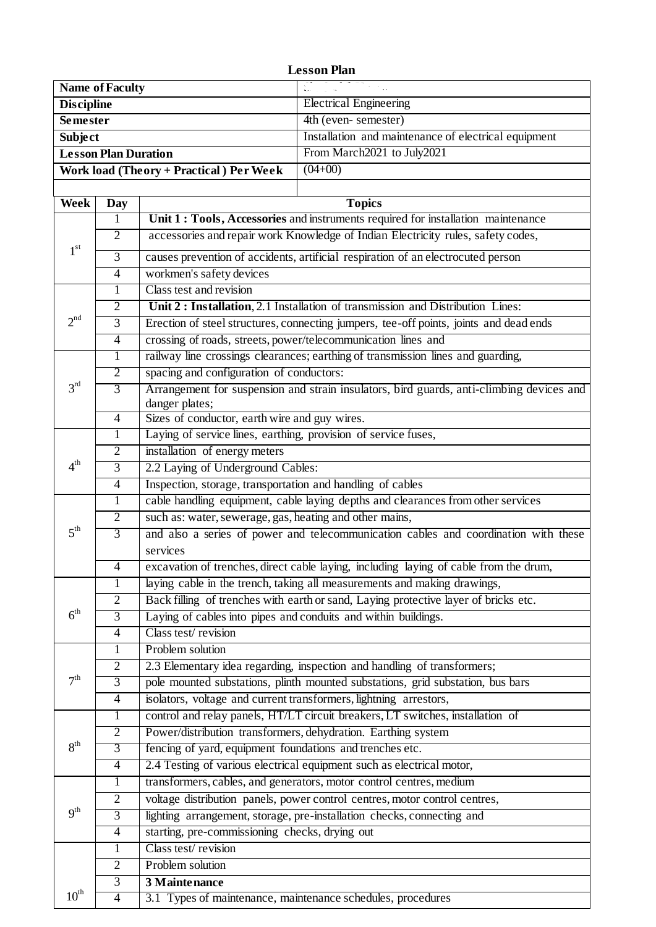## **Lesson Plan**

| <b>Name of Faculty</b>                  | All common the factor                                |
|-----------------------------------------|------------------------------------------------------|
| <b>Discipline</b>                       | <b>Electrical Engineering</b>                        |
| <b>Semester</b>                         | 4th (even-semester)                                  |
| <b>Subject</b>                          | Installation and maintenance of electrical equipment |
| <b>Lesson Plan Duration</b>             | From March2021 to July2021                           |
| Work load (Theory + Practical) Per Week | $(04+00)$                                            |
|                                         |                                                      |

| Week             | <b>Day</b>     | <b>Topics</b>                                                                                              |
|------------------|----------------|------------------------------------------------------------------------------------------------------------|
|                  | 1              | Unit 1 : Tools, Accessories and instruments required for installation maintenance                          |
| 1 <sup>st</sup>  | $\overline{2}$ | accessories and repair work Knowledge of Indian Electricity rules, safety codes,                           |
|                  | 3              | causes prevention of accidents, artificial respiration of an electrocuted person                           |
|                  | $\overline{4}$ | workmen's safety devices                                                                                   |
|                  | 1              | Class test and revision                                                                                    |
|                  | $\overline{2}$ | Unit 2 : Installation, 2.1 Installation of transmission and Distribution Lines:                            |
| 2 <sup>nd</sup>  | $\overline{3}$ | Erection of steel structures, connecting jumpers, tee-off points, joints and dead ends                     |
|                  | $\overline{4}$ | crossing of roads, streets, power/telecommunication lines and                                              |
| 3 <sup>rd</sup>  | 1              | railway line crossings clearances; earthing of transmission lines and guarding,                            |
|                  | $\overline{2}$ | spacing and configuration of conductors:                                                                   |
|                  | $\overline{3}$ | Arrangement for suspension and strain insulators, bird guards, anti-climbing devices and<br>danger plates; |
|                  | $\overline{4}$ | Sizes of conductor, earth wire and guy wires.                                                              |
|                  | $\mathbf{1}$   | Laying of service lines, earthing, provision of service fuses,                                             |
| $4^{\rm th}$     | $\overline{2}$ | installation of energy meters                                                                              |
|                  | 3              | 2.2 Laying of Underground Cables:                                                                          |
|                  | $\overline{4}$ | Inspection, storage, transportation and handling of cables                                                 |
|                  | $\mathbf{1}$   | cable handling equipment, cable laying depths and clearances from other services                           |
|                  | $\overline{2}$ | such as: water, sewerage, gas, heating and other mains,                                                    |
| $5^{\text{th}}$  | $\overline{3}$ | and also a series of power and telecommunication cables and coordination with these                        |
|                  |                | services                                                                                                   |
|                  | $\overline{4}$ | excavation of trenches, direct cable laying, including laying of cable from the drum,                      |
|                  | 1              | laying cable in the trench, taking all measurements and making drawings,                                   |
|                  | 2              | Back filling of trenches with earth or sand, Laying protective layer of bricks etc.                        |
| $6^{\text{th}}$  | $\overline{3}$ | Laying of cables into pipes and conduits and within buildings.                                             |
|                  | $\overline{4}$ | Class test/revision                                                                                        |
| 7 <sup>th</sup>  | 1              | Problem solution                                                                                           |
|                  | 2              | 2.3 Elementary idea regarding, inspection and handling of transformers;                                    |
|                  | $\overline{3}$ | pole mounted substations, plinth mounted substations, grid substation, bus bars                            |
|                  | $\overline{4}$ | isolators, voltage and current transformers, lightning arrestors,                                          |
| 8 <sup>th</sup>  | $\bf{l}$       | control and relay panels, HT/LT circuit breakers, LT switches, installation of                             |
|                  | $\overline{2}$ | Power/distribution transformers, dehydration. Earthing system                                              |
|                  | 3              | fencing of yard, equipment foundations and trenches etc.                                                   |
|                  | $\overline{4}$ | 2.4 Testing of various electrical equipment such as electrical motor,                                      |
|                  | 1              | transformers, cables, and generators, motor control centres, medium                                        |
|                  | $\overline{2}$ | voltage distribution panels, power control centres, motor control centres,                                 |
| 9 <sup>th</sup>  | $\overline{3}$ | lighting arrangement, storage, pre-installation checks, connecting and                                     |
|                  | $\overline{4}$ | starting, pre-commissioning checks, drying out                                                             |
|                  | 1              | Class test/revision                                                                                        |
|                  | $\overline{2}$ | Problem solution                                                                                           |
|                  | 3              | 3 Maintenance                                                                                              |
| $10^{\text{th}}$ | $\overline{4}$ | 3.1 Types of maintenance, maintenance schedules, procedures                                                |